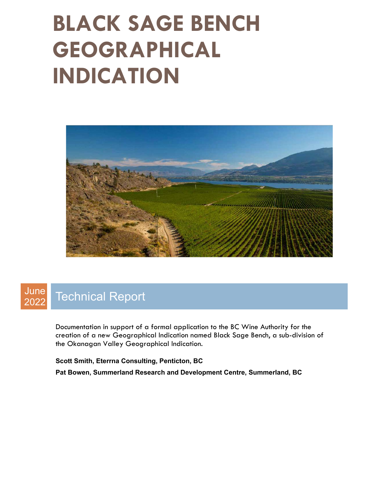# **BLACK SAGE BENCH GEOGRAPHICAL INDICATION**



#### June Julie Technical Report

Documentation in support of a formal application to the BC Wine Authority for the creation of a new Geographical Indication named Black Sage Bench, a sub-division of the Okanagan Valley Geographical Indication.

**Scott Smith, Eterrna Consulting, Penticton, BC Pat Bowen, Summerland Research and Development Centre, Summerland, BC**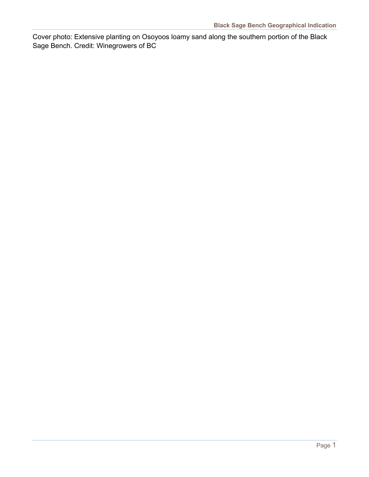Cover photo: Extensive planting on Osoyoos loamy sand along the southern portion of the Black Sage Bench. Credit: Winegrowers of BC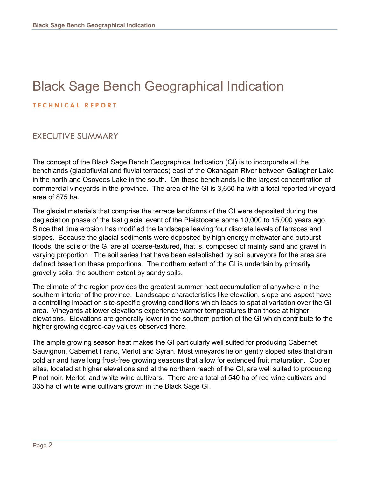## Black Sage Bench Geographical Indication **TECHNICAL REPORT**

### EXECUTIVE SUMMARY

The concept of the Black Sage Bench Geographical Indication (GI) is to incorporate all the benchlands (glaciofluvial and fluvial terraces) east of the Okanagan River between Gallagher Lake in the north and Osoyoos Lake in the south. On these benchlands lie the largest concentration of commercial vineyards in the province. The area of the GI is 3,650 ha with a total reported vineyard area of 875 ha.

The glacial materials that comprise the terrace landforms of the GI were deposited during the deglaciation phase of the last glacial event of the Pleistocene some 10,000 to 15,000 years ago. Since that time erosion has modified the landscape leaving four discrete levels of terraces and slopes. Because the glacial sediments were deposited by high energy meltwater and outburst floods, the soils of the GI are all coarse-textured, that is, composed of mainly sand and gravel in varying proportion. The soil series that have been established by soil surveyors for the area are defined based on these proportions. The northern extent of the GI is underlain by primarily gravelly soils, the southern extent by sandy soils.

The climate of the region provides the greatest summer heat accumulation of anywhere in the southern interior of the province. Landscape characteristics like elevation, slope and aspect have a controlling impact on site-specific growing conditions which leads to spatial variation over the GI area. Vineyards at lower elevations experience warmer temperatures than those at higher elevations. Elevations are generally lower in the southern portion of the GI which contribute to the higher growing degree-day values observed there.

The ample growing season heat makes the GI particularly well suited for producing Cabernet Sauvignon, Cabernet Franc, Merlot and Syrah. Most vineyards lie on gently sloped sites that drain cold air and have long frost-free growing seasons that allow for extended fruit maturation. Cooler sites, located at higher elevations and at the northern reach of the GI, are well suited to producing Pinot noir, Merlot, and white wine cultivars. There are a total of 540 ha of red wine cultivars and 335 ha of white wine cultivars grown in the Black Sage GI.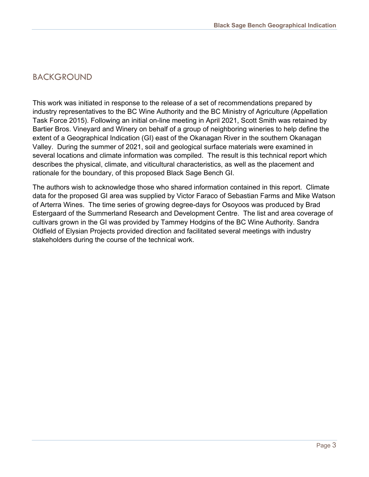## BACKGROUND

This work was initiated in response to the release of a set of recommendations prepared by industry representatives to the BC Wine Authority and the BC Ministry of Agriculture (Appellation Task Force 2015). Following an initial on-line meeting in April 2021, Scott Smith was retained by Bartier Bros. Vineyard and Winery on behalf of a group of neighboring wineries to help define the extent of a Geographical Indication (GI) east of the Okanagan River in the southern Okanagan Valley. During the summer of 2021, soil and geological surface materials were examined in several locations and climate information was compiled. The result is this technical report which describes the physical, climate, and viticultural characteristics, as well as the placement and rationale for the boundary, of this proposed Black Sage Bench GI.

The authors wish to acknowledge those who shared information contained in this report. Climate data for the proposed GI area was supplied by Victor Faraco of Sebastian Farms and Mike Watson of Arterra Wines. The time series of growing degree-days for Osoyoos was produced by Brad Estergaard of the Summerland Research and Development Centre. The list and area coverage of cultivars grown in the GI was provided by Tammey Hodgins of the BC Wine Authority. Sandra Oldfield of Elysian Projects provided direction and facilitated several meetings with industry stakeholders during the course of the technical work.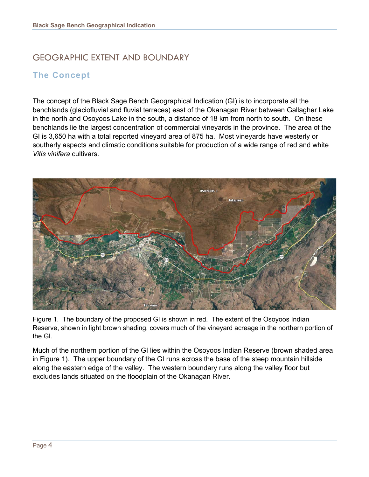## GEOGRAPHIC EXTENT AND BOUNDARY

## **The Concept**

The concept of the Black Sage Bench Geographical Indication (GI) is to incorporate all the benchlands (glaciofluvial and fluvial terraces) east of the Okanagan River between Gallagher Lake in the north and Osoyoos Lake in the south, a distance of 18 km from north to south. On these benchlands lie the largest concentration of commercial vineyards in the province. The area of the GI is 3,650 ha with a total reported vineyard area of 875 ha. Most vineyards have westerly or southerly aspects and climatic conditions suitable for production of a wide range of red and white *Vitis vinifera* cultivars.



Figure 1. The boundary of the proposed GI is shown in red. The extent of the Osoyoos Indian Reserve, shown in light brown shading, covers much of the vineyard acreage in the northern portion of the GI.

Much of the northern portion of the GI lies within the Osoyoos Indian Reserve (brown shaded area in Figure 1). The upper boundary of the GI runs across the base of the steep mountain hillside along the eastern edge of the valley. The western boundary runs along the valley floor but excludes lands situated on the floodplain of the Okanagan River.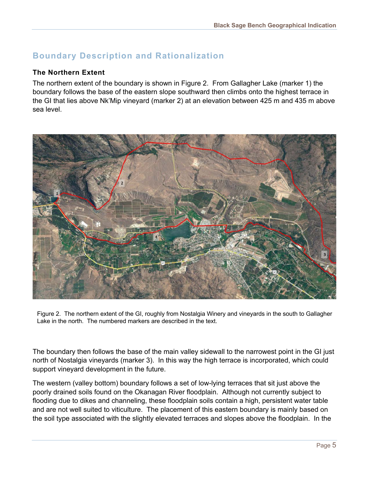## **Boundary Description and Rationalization**

#### **The Northern Extent**

The northern extent of the boundary is shown in Figure 2. From Gallagher Lake (marker 1) the boundary follows the base of the eastern slope southward then climbs onto the highest terrace in the GI that lies above Nk'Mip vineyard (marker 2) at an elevation between 425 m and 435 m above sea level.



Figure 2. The northern extent of the GI, roughly from Nostalgia Winery and vineyards in the south to Gallagher Lake in the north. The numbered markers are described in the text.

The boundary then follows the base of the main valley sidewall to the narrowest point in the GI just north of Nostalgia vineyards (marker 3). In this way the high terrace is incorporated, which could support vineyard development in the future.

The western (valley bottom) boundary follows a set of low-lying terraces that sit just above the poorly drained soils found on the Okanagan River floodplain. Although not currently subject to flooding due to dikes and channeling, these floodplain soils contain a high, persistent water table and are not well suited to viticulture. The placement of this eastern boundary is mainly based on the soil type associated with the slightly elevated terraces and slopes above the floodplain. In the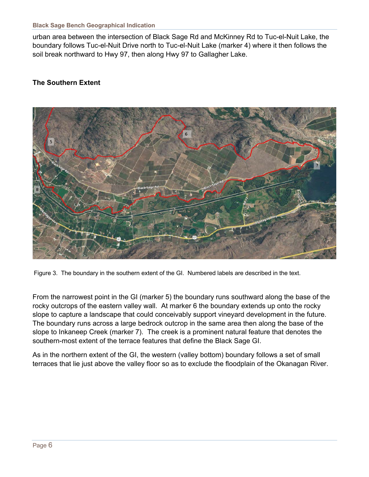#### **Black Sage Bench Geographical Indication**

urban area between the intersection of Black Sage Rd and McKinney Rd to Tuc-el-Nuit Lake, the boundary follows Tuc-el-Nuit Drive north to Tuc-el-Nuit Lake (marker 4) where it then follows the soil break northward to Hwy 97, then along Hwy 97 to Gallagher Lake.

#### **The Southern Extent**



Figure 3. The boundary in the southern extent of the GI. Numbered labels are described in the text.

From the narrowest point in the GI (marker 5) the boundary runs southward along the base of the rocky outcrops of the eastern valley wall. At marker 6 the boundary extends up onto the rocky slope to capture a landscape that could conceivably support vineyard development in the future. The boundary runs across a large bedrock outcrop in the same area then along the base of the slope to Inkaneep Creek (marker 7). The creek is a prominent natural feature that denotes the southern-most extent of the terrace features that define the Black Sage GI.

As in the northern extent of the GI, the western (valley bottom) boundary follows a set of small terraces that lie just above the valley floor so as to exclude the floodplain of the Okanagan River.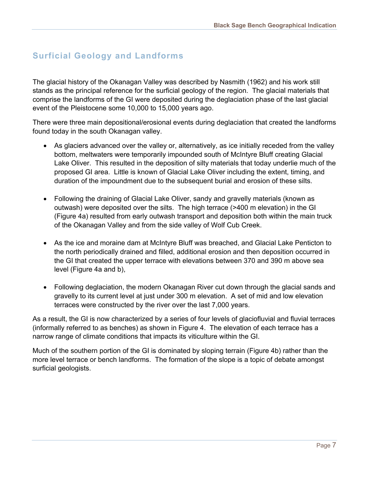## **Surficial Geology and Landforms**

The glacial history of the Okanagan Valley was described by Nasmith (1962) and his work still stands as the principal reference for the surficial geology of the region. The glacial materials that comprise the landforms of the GI were deposited during the deglaciation phase of the last glacial event of the Pleistocene some 10,000 to 15,000 years ago.

There were three main depositional/erosional events during deglaciation that created the landforms found today in the south Okanagan valley.

- As glaciers advanced over the valley or, alternatively, as ice initially receded from the valley bottom, meltwaters were temporarily impounded south of McIntyre Bluff creating Glacial Lake Oliver. This resulted in the deposition of silty materials that today underlie much of the proposed GI area. Little is known of Glacial Lake Oliver including the extent, timing, and duration of the impoundment due to the subsequent burial and erosion of these silts.
- Following the draining of Glacial Lake Oliver, sandy and gravelly materials (known as outwash) were deposited over the silts. The high terrace (>400 m elevation) in the GI (Figure 4a) resulted from early outwash transport and deposition both within the main truck of the Okanagan Valley and from the side valley of Wolf Cub Creek.
- As the ice and moraine dam at McIntyre Bluff was breached, and Glacial Lake Penticton to the north periodically drained and filled, additional erosion and then deposition occurred in the GI that created the upper terrace with elevations between 370 and 390 m above sea level (Figure 4a and b),
- Following deglaciation, the modern Okanagan River cut down through the glacial sands and gravelly to its current level at just under 300 m elevation. A set of mid and low elevation terraces were constructed by the river over the last 7,000 years.

As a result, the GI is now characterized by a series of four levels of glaciofluvial and fluvial terraces (informally referred to as benches) as shown in Figure 4. The elevation of each terrace has a narrow range of climate conditions that impacts its viticulture within the GI.

Much of the southern portion of the GI is dominated by sloping terrain (Figure 4b) rather than the more level terrace or bench landforms. The formation of the slope is a topic of debate amongst surficial geologists.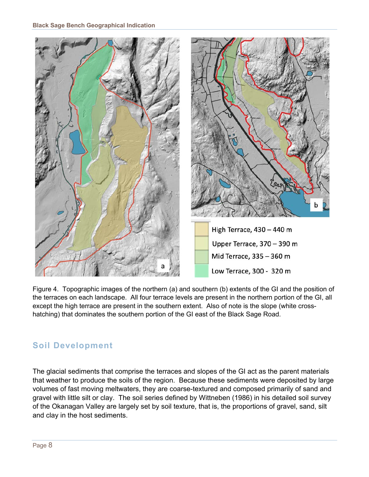

Figure 4. Topographic images of the northern (a) and southern (b) extents of the GI and the position of the terraces on each landscape. All four terrace levels are present in the northern portion of the GI, all except the high terrace are present in the southern extent. Also of note is the slope (white crosshatching) that dominates the southern portion of the GI east of the Black Sage Road.

## **Soil Development**

The glacial sediments that comprise the terraces and slopes of the GI act as the parent materials that weather to produce the soils of the region. Because these sediments were deposited by large volumes of fast moving meltwaters, they are coarse-textured and composed primarily of sand and gravel with little silt or clay. The soil series defined by Wittneben (1986) in his detailed soil survey of the Okanagan Valley are largely set by soil texture, that is, the proportions of gravel, sand, silt and clay in the host sediments.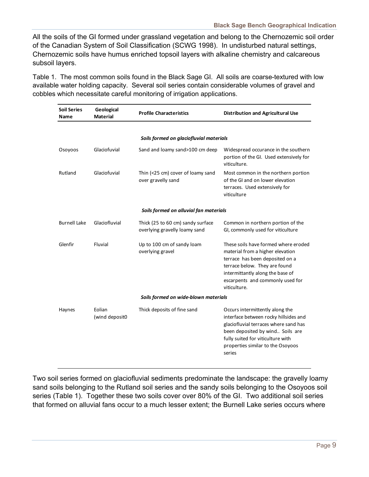All the soils of the GI formed under grassland vegetation and belong to the Chernozemic soil order of the Canadian System of Soil Classification (SCWG 1998). In undisturbed natural settings, Chernozemic soils have humus enriched topsoil layers with alkaline chemistry and calcareous subsoil layers.

Table 1. The most common soils found in the Black Sage GI. All soils are coarse-textured with low available water holding capacity. Several soil series contain considerable volumes of gravel and cobbles which necessitate careful monitoring of irrigation applications.

| <b>Soil Series</b><br>Name | Geological<br><b>Material</b>          | <b>Profile Characteristics</b>                                     | <b>Distribution and Agricultural Use</b>                                                                                                                                                                                                  |  |  |  |
|----------------------------|----------------------------------------|--------------------------------------------------------------------|-------------------------------------------------------------------------------------------------------------------------------------------------------------------------------------------------------------------------------------------|--|--|--|
|                            |                                        |                                                                    |                                                                                                                                                                                                                                           |  |  |  |
|                            |                                        | Soils formed on glaciofluvial materials                            |                                                                                                                                                                                                                                           |  |  |  |
| Osoyoos                    | Glaciofuvial                           | Sand and loamy sand>100 cm deep                                    | Widespread occurance in the southern<br>portion of the GI. Used extensively for<br>viticulture.                                                                                                                                           |  |  |  |
| Rutland                    | Glaciofuvial                           | Thin (<25 cm) cover of loamy sand<br>over gravelly sand            | Most common in the northern portion<br>of the GI and on lower elevation<br>terraces. Used extensively for<br>viticulture                                                                                                                  |  |  |  |
|                            | Soils formed on alluvial fan materials |                                                                    |                                                                                                                                                                                                                                           |  |  |  |
| <b>Burnell Lake</b>        | Glaciofluvial                          | Thick (25 to 60 cm) sandy surface<br>overlying gravelly loamy sand | Common in northern portion of the<br>GI, commonly used for viticulture                                                                                                                                                                    |  |  |  |
| Glenfir                    | Fluvial                                | Up to 100 cm of sandy loam<br>overlying gravel                     | These soils have formed where eroded<br>material from a higher elevation<br>terrace has been deposited on a<br>terrace below. They are found<br>intermittantly along the base of<br>escarpents and commonly used for<br>viticulture.      |  |  |  |
|                            |                                        | Soils formed on wide-blown materials                               |                                                                                                                                                                                                                                           |  |  |  |
| Haynes                     | Eolian<br>(wind deposit0               | Thick deposits of fine sand                                        | Occurs intermittently along the<br>interface between rocky hillsides and<br>glaciofluvial terraces where sand has<br>been deposited by wind Soils are<br>fully suited for viticulture with<br>properties similar to the Osoyoos<br>series |  |  |  |

Two soil series formed on glaciofluvial sediments predominate the landscape: the gravelly loamy sand soils belonging to the Rutland soil series and the sandy soils belonging to the Osoyoos soil series (Table 1). Together these two soils cover over 80% of the GI. Two additional soil series that formed on alluvial fans occur to a much lesser extent; the Burnell Lake series occurs where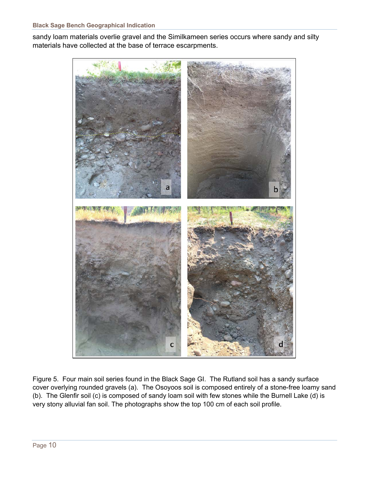sandy loam materials overlie gravel and the Similkameen series occurs where sandy and silty materials have collected at the base of terrace escarpments.



Figure 5. Four main soil series found in the Black Sage GI. The Rutland soil has a sandy surface cover overlying rounded gravels (a). The Osoyoos soil is composed entirely of a stone-free loamy sand (b). The Glenfir soil (c) is composed of sandy loam soil with few stones while the Burnell Lake (d) is very stony alluvial fan soil. The photographs show the top 100 cm of each soil profile.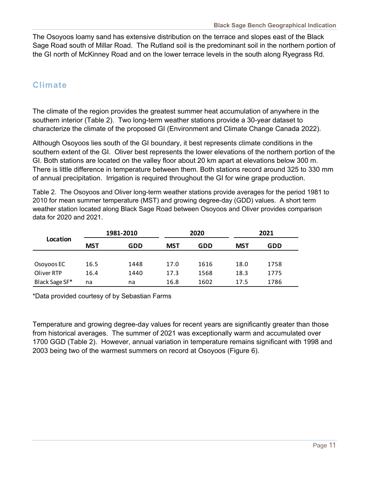The Osoyoos loamy sand has extensive distribution on the terrace and slopes east of the Black Sage Road south of Millar Road. The Rutland soil is the predominant soil in the northern portion of the GI north of McKinney Road and on the lower terrace levels in the south along Ryegrass Rd.

## **Climate**

The climate of the region provides the greatest summer heat accumulation of anywhere in the southern interior (Table 2). Two long-term weather stations provide a 30-year dataset to characterize the climate of the proposed GI (Environment and Climate Change Canada 2022).

Although Osoyoos lies south of the GI boundary, it best represents climate conditions in the southern extent of the GI. Oliver best represents the lower elevations of the northern portion of the GI. Both stations are located on the valley floor about 20 km apart at elevations below 300 m. There is little difference in temperature between them. Both stations record around 325 to 330 mm of annual precipitation. Irrigation is required throughout the GI for wine grape production.

Table 2. The Osoyoos and Oliver long-term weather stations provide averages for the period 1981 to 2010 for mean summer temperature (MST) and growing degree-day (GDD) values. A short term weather station located along Black Sage Road between Osoyoos and Oliver provides comparison data for 2020 and 2021.

|                | 1981-2010  |      | 2020       |      | 2021       |      |
|----------------|------------|------|------------|------|------------|------|
| Location       | <b>MST</b> | GDD  | <b>MST</b> | GDD  | <b>MST</b> | GDD  |
|                |            |      |            |      |            |      |
| Osoyoos EC     | 16.5       | 1448 | 17.0       | 1616 | 18.0       | 1758 |
| Oliver RTP     | 16.4       | 1440 | 17.3       | 1568 | 18.3       | 1775 |
| Black Sage SF* | na         | na   | 16.8       | 1602 | 17.5       | 1786 |

\*Data provided courtesy of by Sebastian Farms

Temperature and growing degree-day values for recent years are significantly greater than those from historical averages. The summer of 2021 was exceptionally warm and accumulated over 1700 GGD (Table 2). However, annual variation in temperature remains significant with 1998 and 2003 being two of the warmest summers on record at Osoyoos (Figure 6).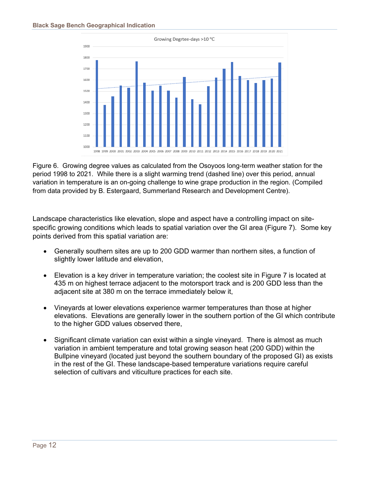

Figure 6. Growing degree values as calculated from the Osoyoos long-term weather station for the period 1998 to 2021. While there is a slight warming trend (dashed line) over this period, annual variation in temperature is an on-going challenge to wine grape production in the region. (Compiled from data provided by B. Estergaard, Summerland Research and Development Centre).

Landscape characteristics like elevation, slope and aspect have a controlling impact on sitespecific growing conditions which leads to spatial variation over the GI area (Figure 7). Some key points derived from this spatial variation are:

- Generally southern sites are up to 200 GDD warmer than northern sites, a function of slightly lower latitude and elevation,
- Elevation is a key driver in temperature variation; the coolest site in Figure 7 is located at 435 m on highest terrace adjacent to the motorsport track and is 200 GDD less than the adjacent site at 380 m on the terrace immediately below it,
- Vineyards at lower elevations experience warmer temperatures than those at higher elevations. Elevations are generally lower in the southern portion of the GI which contribute to the higher GDD values observed there,
- Significant climate variation can exist within a single vineyard. There is almost as much variation in ambient temperature and total growing season heat (200 GDD) within the Bullpine vineyard (located just beyond the southern boundary of the proposed GI) as exists in the rest of the GI. These landscape-based temperature variations require careful selection of cultivars and viticulture practices for each site.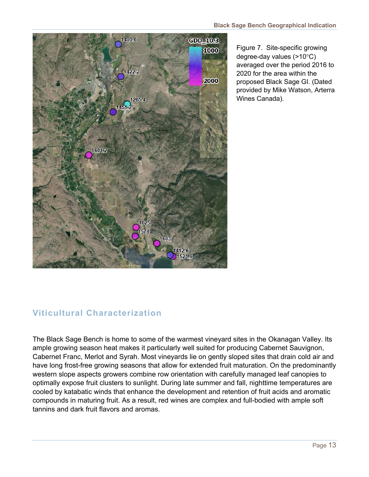

Figure 7. Site-specific growing degree-day values (>10°C) averaged over the period 2016 to 2020 for the area within the proposed Black Sage GI. (Dated provided by Mike Watson, Arterra Wines Canada).

## **Viticultural Characterization**

The Black Sage Bench is home to some of the warmest vineyard sites in the Okanagan Valley. Its ample growing season heat makes it particularly well suited for producing Cabernet Sauvignon, Cabernet Franc, Merlot and Syrah. Most vineyards lie on gently sloped sites that drain cold air and have long frost-free growing seasons that allow for extended fruit maturation. On the predominantly western slope aspects growers combine row orientation with carefully managed leaf canopies to optimally expose fruit clusters to sunlight. During late summer and fall, nighttime temperatures are cooled by katabatic winds that enhance the development and retention of fruit acids and aromatic compounds in maturing fruit. As a result, red wines are complex and full-bodied with ample soft tannins and dark fruit flavors and aromas.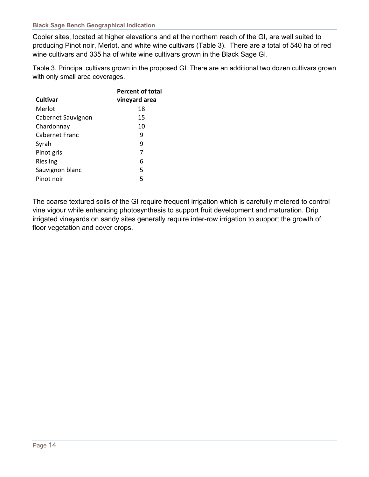#### **Black Sage Bench Geographical Indication**

Cooler sites, located at higher elevations and at the northern reach of the GI, are well suited to producing Pinot noir, Merlot, and white wine cultivars (Table 3). There are a total of 540 ha of red wine cultivars and 335 ha of white wine cultivars grown in the Black Sage GI.

Table 3. Principal cultivars grown in the proposed GI. There are an additional two dozen cultivars grown with only small area coverages.

|                    | <b>Percent of total</b> |  |  |  |
|--------------------|-------------------------|--|--|--|
| Cultivar           | vineyard area           |  |  |  |
| Merlot             | 18                      |  |  |  |
| Cabernet Sauvignon | 15                      |  |  |  |
| Chardonnay         | 10                      |  |  |  |
| Cabernet Franc     | q                       |  |  |  |
| Syrah              | 9                       |  |  |  |
| Pinot gris         | 7                       |  |  |  |
| Riesling           | 6                       |  |  |  |
| Sauvignon blanc    | 5                       |  |  |  |
| Pinot noir         | 5                       |  |  |  |

The coarse textured soils of the GI require frequent irrigation which is carefully metered to control vine vigour while enhancing photosynthesis to support fruit development and maturation. Drip irrigated vineyards on sandy sites generally require inter-row irrigation to support the growth of floor vegetation and cover crops.